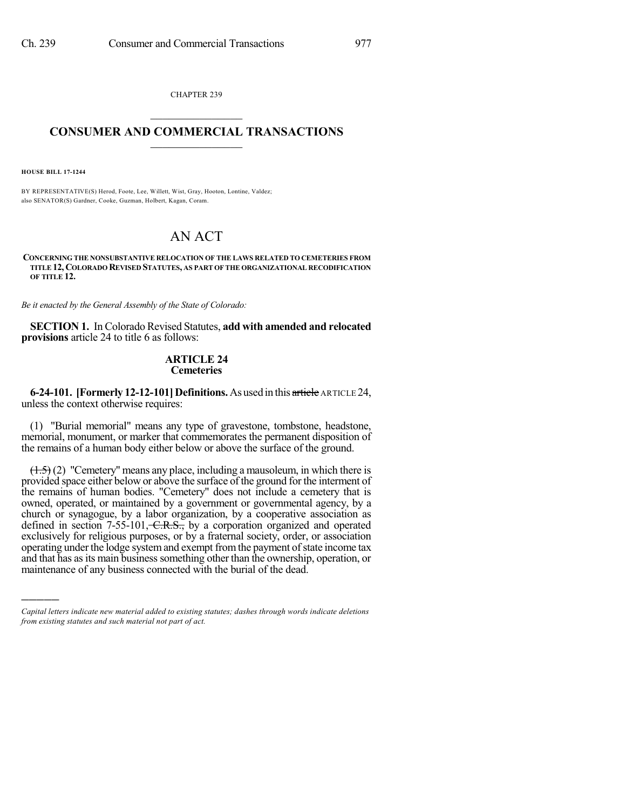CHAPTER 239  $\overline{\phantom{a}}$  . The set of the set of the set of the set of the set of the set of the set of the set of the set of the set of the set of the set of the set of the set of the set of the set of the set of the set of the set o

## **CONSUMER AND COMMERCIAL TRANSACTIONS**  $\frac{1}{\sqrt{2}}$  ,  $\frac{1}{\sqrt{2}}$  ,  $\frac{1}{\sqrt{2}}$  ,  $\frac{1}{\sqrt{2}}$  ,  $\frac{1}{\sqrt{2}}$

**HOUSE BILL 17-1244**

)))))

BY REPRESENTATIVE(S) Herod, Foote, Lee, Willett, Wist, Gray, Hooton, Lontine, Valdez; also SENATOR(S) Gardner, Cooke, Guzman, Holbert, Kagan, Coram.

# AN ACT

**CONCERNING THE NONSUBSTANTIVE RELOCATION OF THE LAWS RELATED TO CEMETERIES FROM TITLE 12, COLORADO REVISED STATUTES, AS PART OF THE ORGANIZATIONAL RECODIFICATION OF TITLE 12.**

*Be it enacted by the General Assembly of the State of Colorado:*

**SECTION 1.** In Colorado Revised Statutes, **add with amended and relocated provisions** article 24 to title 6 as follows:

## **ARTICLE 24 Cemeteries**

**6-24-101. [Formerly 12-12-101] Definitions.** As used in this article ARTICLE 24, unless the context otherwise requires:

(1) "Burial memorial" means any type of gravestone, tombstone, headstone, memorial, monument, or marker that commemorates the permanent disposition of the remains of a human body either below or above the surface of the ground.

(1.5) (2) "Cemetery" means any place, including a mausoleum, in which there is provided space either below or above the surface of the ground for the interment of the remains of human bodies. "Cemetery" does not include a cemetery that is owned, operated, or maintained by a government or governmental agency, by a church or synagogue, by a labor organization, by a cooperative association as defined in section  $7-55-101$ ,  $C.R.S.,$  by a corporation organized and operated exclusively for religious purposes, or by a fraternal society, order, or association operating under the lodge system and exempt from the payment of state income tax and that has as its main business something other than the ownership, operation, or maintenance of any business connected with the burial of the dead.

*Capital letters indicate new material added to existing statutes; dashes through words indicate deletions from existing statutes and such material not part of act.*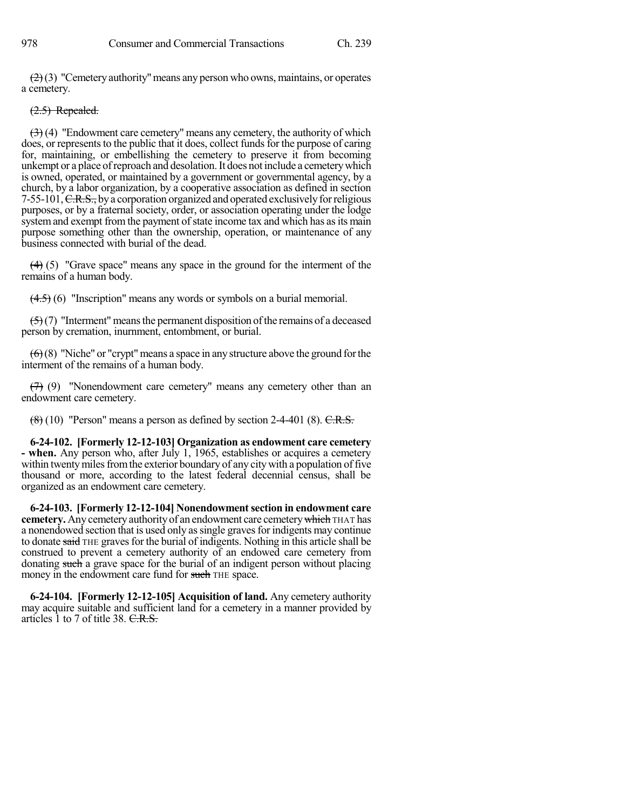$\left(\frac{2}{2}\right)$  "Cemetery authority" means any person who owns, maintains, or operates a cemetery.

### (2.5) Repealed.

 $(3)$  (4) "Endowment care cemetery" means any cemetery, the authority of which does, or represents to the public that it does, collect funds for the purpose of caring for, maintaining, or embellishing the cemetery to preserve it from becoming unkempt or a place of reproach and desolation. It does not include a cemetery which is owned, operated, or maintained by a government or governmental agency, by a church, by a labor organization, by a cooperative association as defined in section 7-55-101,  $C.R.S.,$  by a corporation organized and operated exclusively for religious purposes, or by a fraternal society, order, or association operating under the lodge system and exempt from the payment of state income tax and which has as its main purpose something other than the ownership, operation, or maintenance of any business connected with burial of the dead.

(4) (5) "Grave space" means any space in the ground for the interment of the remains of a human body.

 $(4.5)$  (6) "Inscription" means any words or symbols on a burial memorial.

 $\left(\frac{5}{2}\right)$  "Interment" means the permanent disposition of the remains of a deceased person by cremation, inurnment, entombment, or burial.

 $(6)(8)$  "Niche" or "crypt" means a space in any structure above the ground for the interment of the remains of a human body.

 $(7)$  (9) "Nonendowment care cemetery" means any cemetery other than an endowment care cemetery.

 $(8)(10)$  "Person" means a person as defined by section 2-4-401 (8). C.R.S.

**6-24-102. [Formerly 12-12-103] Organization as endowment care cemetery - when.** Any person who, after July 1, 1965, establishes or acquires a cemetery within twenty miles from the exterior boundary of any city with a population of five thousand or more, according to the latest federal decennial census, shall be organized as an endowment care cemetery.

**6-24-103. [Formerly 12-12-104] Nonendowmentsection in endowment care cemetery.** Any cemetery authority of an endowment care cemetery which THAT has a nonendowed section that is used only as single graves for indigents may continue to donate said THE graves for the burial of indigents. Nothing in this article shall be construed to prevent a cemetery authority of an endowed care cemetery from donating such a grave space for the burial of an indigent person without placing money in the endowment care fund for such THE space.

**6-24-104. [Formerly 12-12-105] Acquisition of land.** Any cemetery authority may acquire suitable and sufficient land for a cemetery in a manner provided by articles  $\hat{1}$  to 7 of title 38. C.R.S.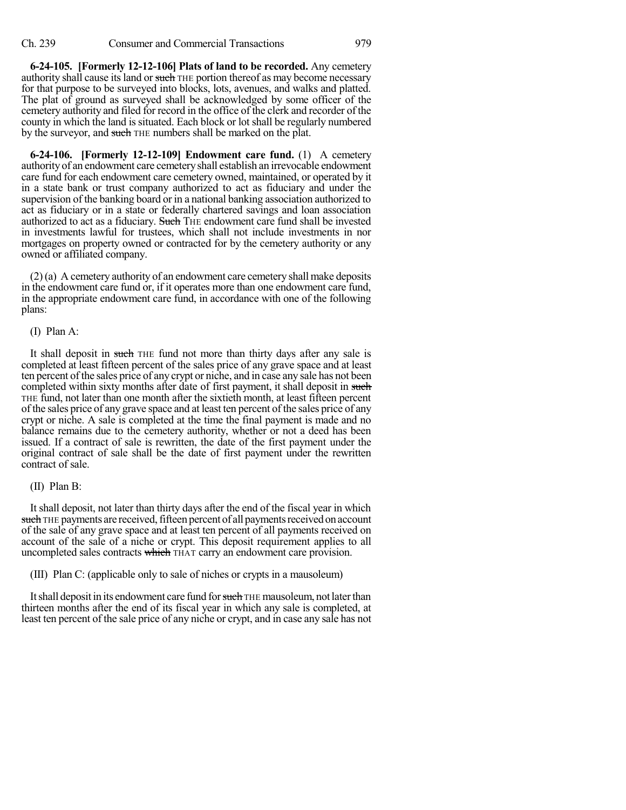**6-24-105. [Formerly 12-12-106] Plats of land to be recorded.** Any cemetery authority shall cause its land or such THE portion thereof as may become necessary for that purpose to be surveyed into blocks, lots, avenues, and walks and platted. The plat of ground as surveyed shall be acknowledged by some officer of the cemetery authority and filed for record in the office of the clerk and recorder of the county in which the land is situated. Each block or lot shall be regularly numbered by the surveyor, and such THE numbers shall be marked on the plat.

**6-24-106. [Formerly 12-12-109] Endowment care fund.** (1) A cemetery authority of an endowment care cemeteryshall establish an irrevocable endowment care fund for each endowment care cemetery owned, maintained, or operated by it in a state bank or trust company authorized to act as fiduciary and under the supervision of the banking board or in a national banking association authorized to act as fiduciary or in a state or federally chartered savings and loan association authorized to act as a fiduciary. Such THE endowment care fund shall be invested in investments lawful for trustees, which shall not include investments in nor mortgages on property owned or contracted for by the cemetery authority or any owned or affiliated company.

(2)(a) A cemetery authority of an endowment care cemetery shall make deposits in the endowment care fund or, if it operates more than one endowment care fund, in the appropriate endowment care fund, in accordance with one of the following plans:

#### (I) Plan A:

It shall deposit in such THE fund not more than thirty days after any sale is completed at least fifteen percent of the sales price of any grave space and at least ten percent of the sales price of any crypt or niche, and in case any sale has not been completed within sixty months after date of first payment, it shall deposit in such THE fund, not later than one month after the sixtieth month, at least fifteen percent of the sales price of any grave space and at least ten percent of the sales price of any crypt or niche. A sale is completed at the time the final payment is made and no balance remains due to the cemetery authority, whether or not a deed has been issued. If a contract of sale is rewritten, the date of the first payment under the original contract of sale shall be the date of first payment under the rewritten contract of sale.

#### (II) Plan B:

It shall deposit, not later than thirty days after the end of the fiscal year in which such THE payments are received, fifteen percent of all payments received on account of the sale of any grave space and at least ten percent of all payments received on account of the sale of a niche or crypt. This deposit requirement applies to all uncompleted sales contracts which THAT carry an endowment care provision.

(III) Plan C: (applicable only to sale of niches or crypts in a mausoleum)

It shall deposit in its endowment care fund for such THE mausoleum, not later than thirteen months after the end of its fiscal year in which any sale is completed, at least ten percent of the sale price of any niche or crypt, and in case any sale has not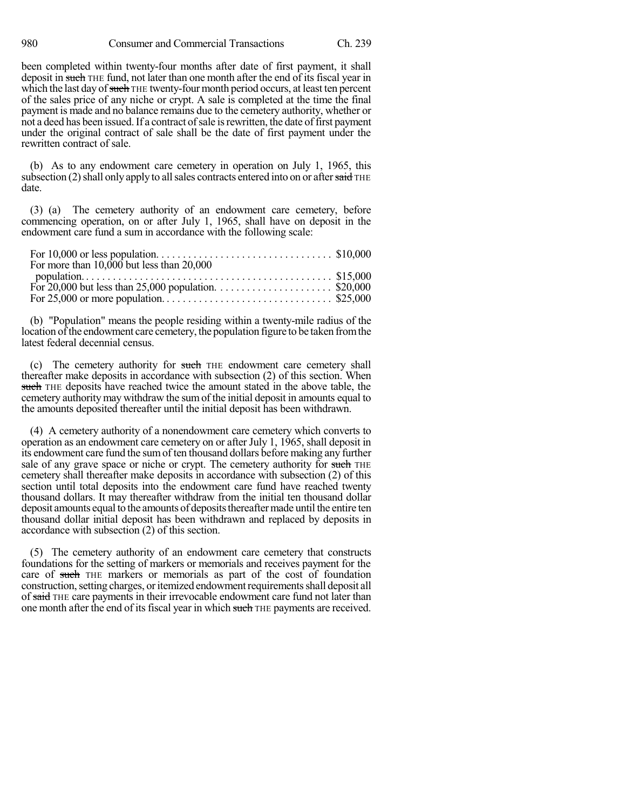been completed within twenty-four months after date of first payment, it shall deposit in such THE fund, not later than one month after the end of its fiscal year in which the last day of such THE twenty-four month period occurs, at least ten percent of the sales price of any niche or crypt. A sale is completed at the time the final payment is made and no balance remains due to the cemetery authority, whether or not a deed has been issued. If a contract of sale is rewritten, the date of first payment under the original contract of sale shall be the date of first payment under the rewritten contract of sale.

(b) As to any endowment care cemetery in operation on July 1, 1965, this subsection  $(2)$  shall only apply to all sales contracts entered into on or after said THE date.

(3) (a) The cemetery authority of an endowment care cemetery, before commencing operation, on or after July 1, 1965, shall have on deposit in the endowment care fund a sum in accordance with the following scale:

| For more than $10,000$ but less than $20,000$ |  |
|-----------------------------------------------|--|
|                                               |  |
|                                               |  |
|                                               |  |

(b) "Population" means the people residing within a twenty-mile radius of the location of the endowment care cemetery, the population figure to be taken from the latest federal decennial census.

(c) The cemetery authority for such THE endowment care cemetery shall thereafter make deposits in accordance with subsection (2) of this section. When such THE deposits have reached twice the amount stated in the above table, the cemetery authoritymay withdraw the sumof the initial deposit in amounts equal to the amounts deposited thereafter until the initial deposit has been withdrawn.

(4) A cemetery authority of a nonendowment care cemetery which converts to operation as an endowment care cemetery on or after July 1, 1965, shall deposit in its endowment care fund the sumof ten thousand dollars before making any further sale of any grave space or niche or crypt. The cemetery authority for such THE cemetery shall thereafter make deposits in accordance with subsection (2) of this section until total deposits into the endowment care fund have reached twenty thousand dollars. It may thereafter withdraw from the initial ten thousand dollar deposit amounts equal to the amounts of deposits thereafter made until the entire ten thousand dollar initial deposit has been withdrawn and replaced by deposits in accordance with subsection (2) of this section.

(5) The cemetery authority of an endowment care cemetery that constructs foundations for the setting of markers or memorials and receives payment for the care of such THE markers or memorials as part of the cost of foundation construction, setting charges, or itemized endowment requirements shall deposit all of said THE care payments in their irrevocable endowment care fund not later than one month after the end of its fiscal year in which such THE payments are received.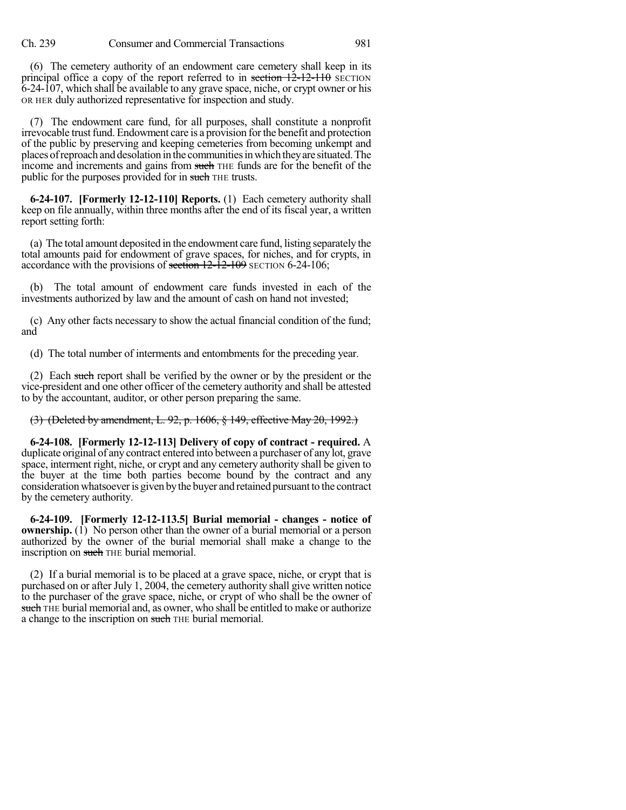(6) The cemetery authority of an endowment care cemetery shall keep in its principal office a copy of the report referred to in section  $12-12-110$  SECTION 6-24-107, which shall be available to any grave space, niche, or crypt owner or his OR HER duly authorized representative for inspection and study.

(7) The endowment care fund, for all purposes, shall constitute a nonprofit irrevocable trust fund. Endowment care is a provision for the benefit and protection of the public by preserving and keeping cemeteries from becoming unkempt and places of reproach and desolation in the communities in which they are situated. The income and increments and gains from such THE funds are for the benefit of the public for the purposes provided for in such THE trusts.

**6-24-107. [Formerly 12-12-110] Reports.** (1) Each cemetery authority shall keep on file annually, within three months after the end of its fiscal year, a written report setting forth:

(a) The total amount deposited in the endowment care fund, listing separately the total amounts paid for endowment of grave spaces, for niches, and for crypts, in accordance with the provisions of section  $12-\overline{12}$ -109 SECTION 6-24-106;

(b) The total amount of endowment care funds invested in each of the investments authorized by law and the amount of cash on hand not invested;

(c) Any other facts necessary to show the actual financial condition of the fund; and

(d) The total number of interments and entombments for the preceding year.

(2) Each such report shall be verified by the owner or by the president or the vice-president and one other officer of the cemetery authority and shall be attested to by the accountant, auditor, or other person preparing the same.

(3) (Deleted by amendment, L. 92, p. 1606, § 149, effective May 20, 1992.)

**6-24-108. [Formerly 12-12-113] Delivery of copy of contract - required.** A duplicate original of any contract entered into between a purchaser of any lot, grave space, interment right, niche, or crypt and any cemetery authority shall be given to the buyer at the time both parties become bound by the contract and any consideration whatsoever is given by the buyer and retained pursuant to the contract by the cemetery authority.

**6-24-109. [Formerly 12-12-113.5] Burial memorial - changes - notice of ownership.** (1) No person other than the owner of a burial memorial or a person authorized by the owner of the burial memorial shall make a change to the inscription on such THE burial memorial.

(2) If a burial memorial is to be placed at a grave space, niche, or crypt that is purchased on or after July 1, 2004, the cemetery authority shall give written notice to the purchaser of the grave space, niche, or crypt of who shall be the owner of such THE burial memorial and, as owner, who shall be entitled to make or authorize a change to the inscription on such THE burial memorial.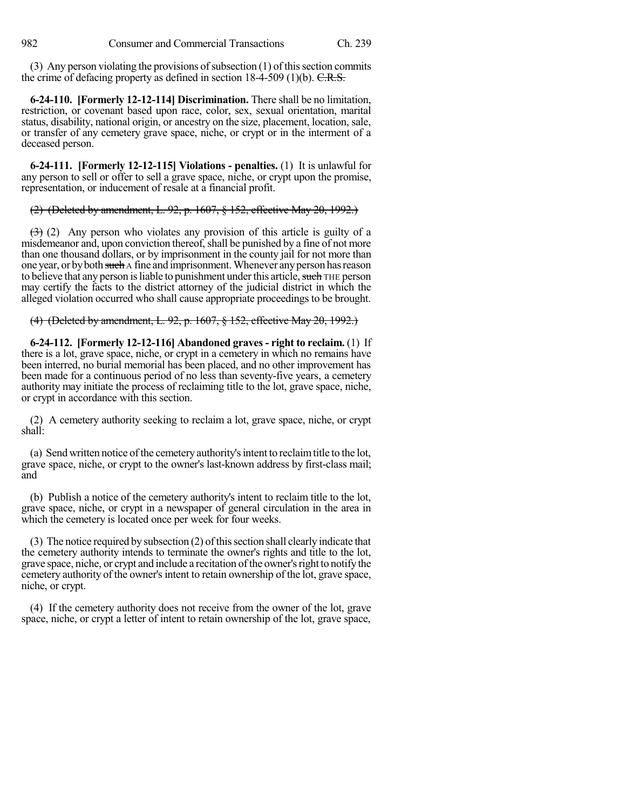(3) Any person violating the provisions of subsection  $(1)$  of this section commits the crime of defacing property as defined in section 18-4-509 (1)(b). C.R.S.

**6-24-110. [Formerly 12-12-114] Discrimination.** There shall be no limitation, restriction, or covenant based upon race, color, sex, sexual orientation, marital status, disability, national origin, or ancestry on the size, placement, location, sale, or transfer of any cemetery grave space, niche, or crypt or in the interment of a deceased person.

**6-24-111. [Formerly 12-12-115] Violations - penalties.** (1) It is unlawful for any person to sell or offer to sell a grave space, niche, or crypt upon the promise, representation, or inducement of resale at a financial profit.

(2) (Deleted by amendment, L. 92, p. 1607, § 152, effective May 20, 1992.)

(3) (2) Any person who violates any provision of this article is guilty of a misdemeanor and, upon conviction thereof, shall be punished by a fine of not more than one thousand dollars, or by imprisonment in the county jail for not more than one year, or by both such A fine and imprisonment. Whenever any person has reason to believe that any person is liable to punishment under this article, such THE person may certify the facts to the district attorney of the judicial district in which the alleged violation occurred who shall cause appropriate proceedings to be brought.

(4) (Deleted by amendment, L. 92, p. 1607, § 152, effective May 20, 1992.)

**6-24-112. [Formerly 12-12-116] Abandoned graves - right to reclaim.** (1) If there is a lot, grave space, niche, or crypt in a cemetery in which no remains have been interred, no burial memorial has been placed, and no other improvement has been made for a continuous period of no less than seventy-five years, a cemetery authority may initiate the process of reclaiming title to the lot, grave space, niche, or crypt in accordance with this section.

(2) A cemetery authority seeking to reclaim a lot, grave space, niche, or crypt shall:

(a) Send written notice ofthe cemetery authority'sintent to reclaimtitle to the lot, grave space, niche, or crypt to the owner's last-known address by first-class mail; and

(b) Publish a notice of the cemetery authority's intent to reclaim title to the lot, grave space, niche, or crypt in a newspaper of general circulation in the area in which the cemetery is located once per week for four weeks.

 $(3)$  The notice required by subsection  $(2)$  of this section shall clearly indicate that the cemetery authority intends to terminate the owner's rights and title to the lot, grave space, niche, or crypt and include a recitation ofthe owner'srightto notifythe cemetery authority of the owner'sintent to retain ownership of the lot, grave space, niche, or crypt.

(4) If the cemetery authority does not receive from the owner of the lot, grave space, niche, or crypt a letter of intent to retain ownership of the lot, grave space,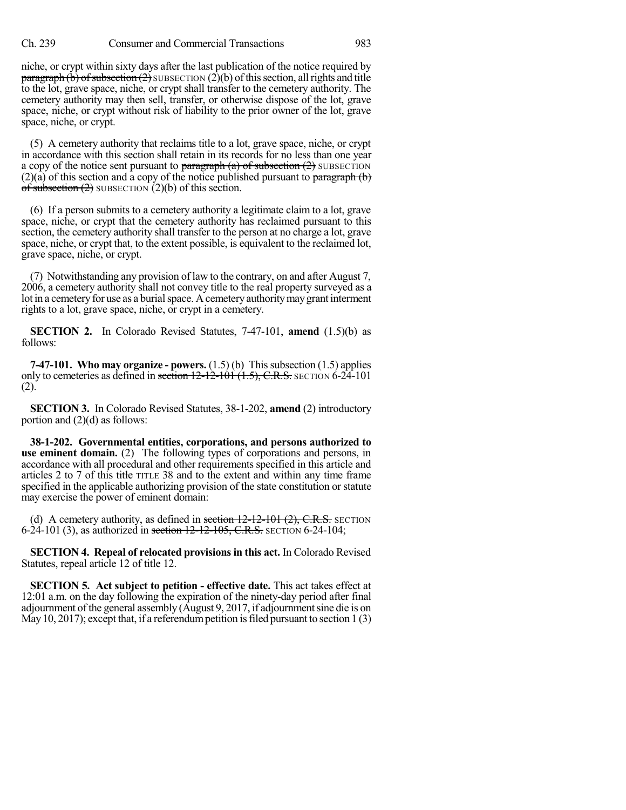niche, or crypt within sixty days after the last publication of the notice required by **paragraph (b) of subsection (2)** SUBSECTION (2)(b) of this section, all rights and title to the lot, grave space, niche, or crypt shall transfer to the cemetery authority. The cemetery authority may then sell, transfer, or otherwise dispose of the lot, grave space, niche, or crypt without risk of liability to the prior owner of the lot, grave space, niche, or crypt.

(5) A cemetery authority that reclaims title to a lot, grave space, niche, or crypt in accordance with this section shall retain in its records for no less than one year a copy of the notice sent pursuant to  $\frac{\text{pargraph}}{a}$  of subsection  $(2)$  SUBSECTION  $(2)(a)$  of this section and a copy of the notice published pursuant to paragraph (b) of subsection  $(2)$  SUBSECTION  $(2)(b)$  of this section.

(6) If a person submits to a cemetery authority a legitimate claim to a lot, grave space, niche, or crypt that the cemetery authority has reclaimed pursuant to this section, the cemetery authority shall transfer to the person at no charge a lot, grave space, niche, or crypt that, to the extent possible, is equivalent to the reclaimed lot, grave space, niche, or crypt.

(7) Notwithstanding any provision of law to the contrary, on and after August 7, 2006, a cemetery authority shall not convey title to the real property surveyed as a lot in a cemetery for use as a burial space. A cemetery authority may grant interment rights to a lot, grave space, niche, or crypt in a cemetery.

**SECTION 2.** In Colorado Revised Statutes, 7-47-101, **amend** (1.5)(b) as follows:

**7-47-101. Who may organize - powers.** (1.5) (b) Thissubsection (1.5) applies only to cemeteries as defined in section  $12-12-101$   $(1.5)$ , C.R.S. SECTION 6-24-101 (2).

**SECTION 3.** In Colorado Revised Statutes, 38-1-202, **amend** (2) introductory portion and (2)(d) as follows:

**38-1-202. Governmental entities, corporations, and persons authorized to use eminent domain.** (2) The following types of corporations and persons, in accordance with all procedural and other requirements specified in this article and articles 2 to 7 of this title TITLE 38 and to the extent and within any time frame specified in the applicable authorizing provision of the state constitution or statute may exercise the power of eminent domain:

(d) A cemetery authority, as defined in section  $12-12-101$   $(2)$ , C.R.S. SECTION 6-24-101 (3), as authorized in section  $12-12-105$ , C.R.S. SECTION 6-24-104;

**SECTION 4. Repeal of relocated provisionsin this act.** In Colorado Revised Statutes, repeal article 12 of title 12.

**SECTION 5. Act subject to petition - effective date.** This act takes effect at 12:01 a.m. on the day following the expiration of the ninety-day period after final adjournment of the general assembly (August 9, 2017, if adjournment sine die is on May 10, 2017); except that, if a referendum petition is filed pursuant to section  $1(3)$